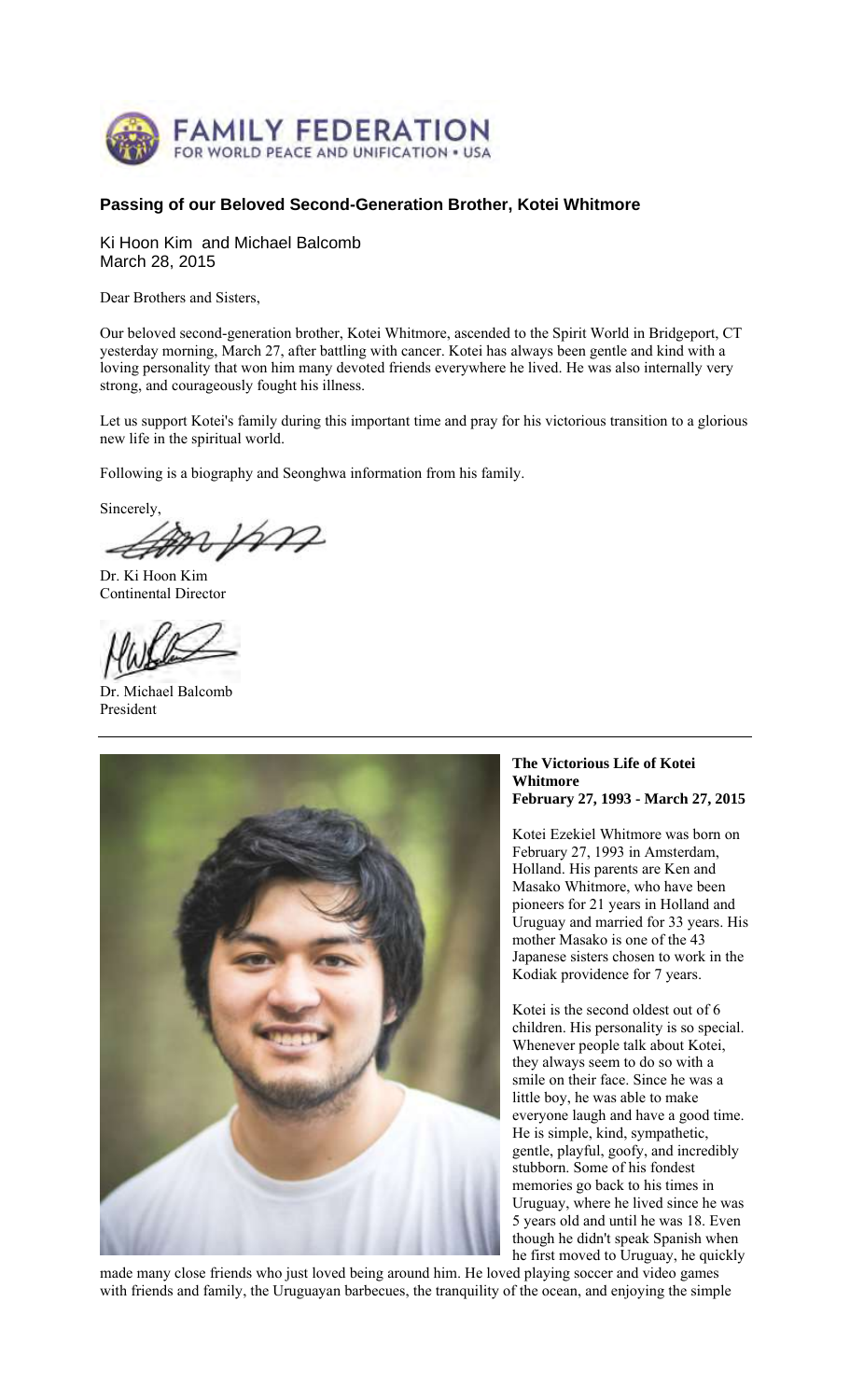

# **Passing of our Beloved Second-Generation Brother, Kotei Whitmore**

Ki Hoon Kim and Michael Balcomb March 28, 2015

Dear Brothers and Sisters,

Our beloved second-generation brother, Kotei Whitmore, ascended to the Spirit World in Bridgeport, CT yesterday morning, March 27, after battling with cancer. Kotei has always been gentle and kind with a loving personality that won him many devoted friends everywhere he lived. He was also internally very strong, and courageously fought his illness.

Let us support Kotei's family during this important time and pray for his victorious transition to a glorious new life in the spiritual world.

Following is a biography and Seonghwa information from his family.

Sincerely, spm

Dr. Ki Hoon Kim Continental Director

Dr. Michael Balcomb President



#### **The Victorious Life of Kotei Whitmore February 27, 1993 - March 27, 2015**

Kotei Ezekiel Whitmore was born on February 27, 1993 in Amsterdam, Holland. His parents are Ken and Masako Whitmore, who have been pioneers for 21 years in Holland and Uruguay and married for 33 years. His mother Masako is one of the 43 Japanese sisters chosen to work in the Kodiak providence for 7 years.

Kotei is the second oldest out of 6 children. His personality is so special. Whenever people talk about Kotei, they always seem to do so with a smile on their face. Since he was a little boy, he was able to make everyone laugh and have a good time. He is simple, kind, sympathetic, gentle, playful, goofy, and incredibly stubborn. Some of his fondest memories go back to his times in Uruguay, where he lived since he was 5 years old and until he was 18. Even though he didn't speak Spanish when he first moved to Uruguay, he quickly

made many close friends who just loved being around him. He loved playing soccer and video games with friends and family, the Uruguayan barbecues, the tranquility of the ocean, and enjoying the simple